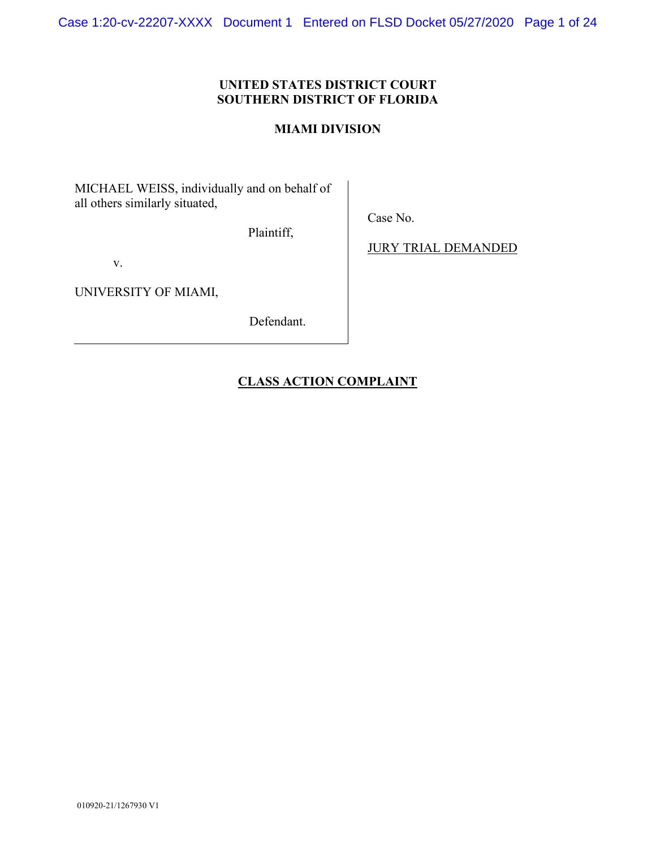Case 1:20-cv-22207-XXXX Document 1 Entered on FLSD Docket 05/27/2020 Page 1 of 24

## **UNITED STATES DISTRICT COURT SOUTHERN DISTRICT OF FLORIDA**

### **MIAMI DIVISION**

MICHAEL WEISS, individually and on behalf of all others similarly situated,

Plaintiff,

v.

UNIVERSITY OF MIAMI,

Defendant.

JURY TRIAL DEMANDED

Case No.

# **CLASS ACTION COMPLAINT**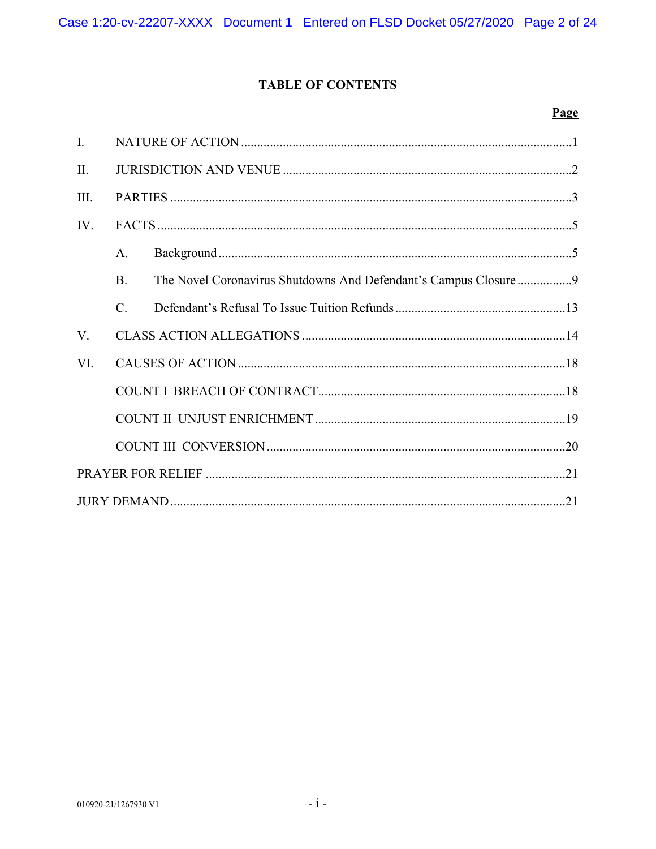# **TABLE OF CONTENTS**

### Page

| $\mathbf{I}$ . |                 |  |  |  |  |  |  |
|----------------|-----------------|--|--|--|--|--|--|
| $\Pi$ .        |                 |  |  |  |  |  |  |
| III.           |                 |  |  |  |  |  |  |
| IV.            |                 |  |  |  |  |  |  |
|                | $\mathsf{A}$ .  |  |  |  |  |  |  |
|                | <b>B.</b>       |  |  |  |  |  |  |
|                | $\mathcal{C}$ . |  |  |  |  |  |  |
| V.             |                 |  |  |  |  |  |  |
| VI.            |                 |  |  |  |  |  |  |
|                |                 |  |  |  |  |  |  |
|                |                 |  |  |  |  |  |  |
|                |                 |  |  |  |  |  |  |
|                |                 |  |  |  |  |  |  |
|                |                 |  |  |  |  |  |  |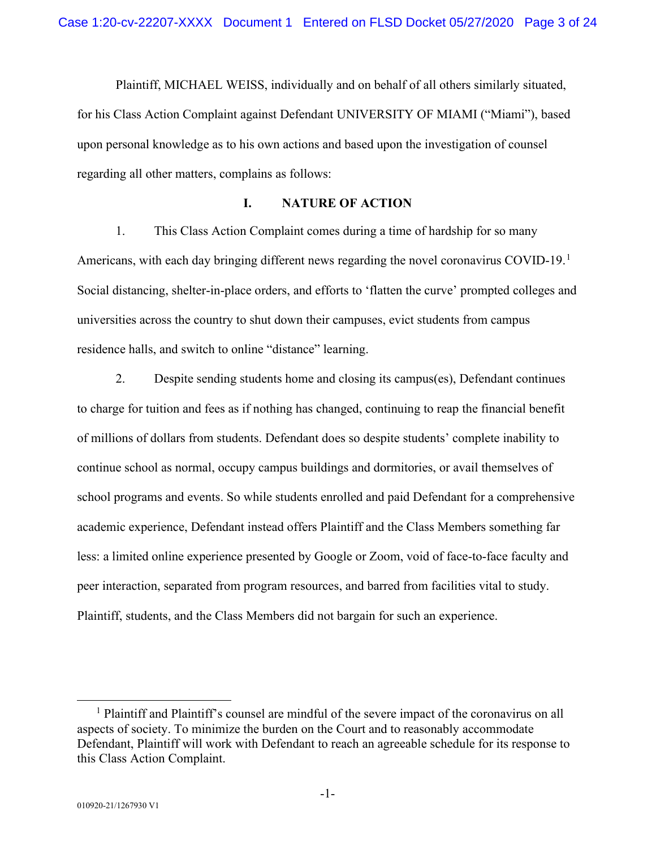Plaintiff, MICHAEL WEISS, individually and on behalf of all others similarly situated, for his Class Action Complaint against Defendant UNIVERSITY OF MIAMI ("Miami"), based upon personal knowledge as to his own actions and based upon the investigation of counsel regarding all other matters, complains as follows:

### **I. NATURE OF ACTION**

1. This Class Action Complaint comes during a time of hardship for so many Americans, with each day bringing different news regarding the novel coronavirus COVID-[1](#page-2-0)9.<sup>1</sup> Social distancing, shelter-in-place orders, and efforts to 'flatten the curve' prompted colleges and universities across the country to shut down their campuses, evict students from campus residence halls, and switch to online "distance" learning.

2. Despite sending students home and closing its campus(es), Defendant continues to charge for tuition and fees as if nothing has changed, continuing to reap the financial benefit of millions of dollars from students. Defendant does so despite students' complete inability to continue school as normal, occupy campus buildings and dormitories, or avail themselves of school programs and events. So while students enrolled and paid Defendant for a comprehensive academic experience, Defendant instead offers Plaintiff and the Class Members something far less: a limited online experience presented by Google or Zoom, void of face-to-face faculty and peer interaction, separated from program resources, and barred from facilities vital to study. Plaintiff, students, and the Class Members did not bargain for such an experience.

<span id="page-2-0"></span> $<sup>1</sup>$  Plaintiff and Plaintiff's counsel are mindful of the severe impact of the coronavirus on all</sup> aspects of society. To minimize the burden on the Court and to reasonably accommodate Defendant, Plaintiff will work with Defendant to reach an agreeable schedule for its response to this Class Action Complaint.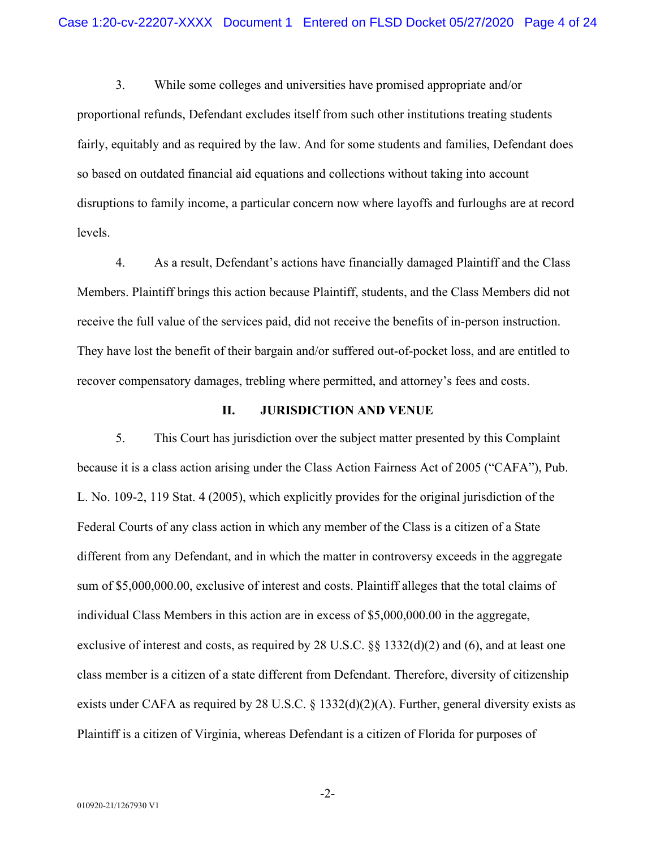3. While some colleges and universities have promised appropriate and/or proportional refunds, Defendant excludes itself from such other institutions treating students fairly, equitably and as required by the law. And for some students and families, Defendant does so based on outdated financial aid equations and collections without taking into account disruptions to family income, a particular concern now where layoffs and furloughs are at record levels.

4. As a result, Defendant's actions have financially damaged Plaintiff and the Class Members. Plaintiff brings this action because Plaintiff, students, and the Class Members did not receive the full value of the services paid, did not receive the benefits of in-person instruction. They have lost the benefit of their bargain and/or suffered out-of-pocket loss, and are entitled to recover compensatory damages, trebling where permitted, and attorney's fees and costs.

### **II. JURISDICTION AND VENUE**

5. This Court has jurisdiction over the subject matter presented by this Complaint because it is a class action arising under the Class Action Fairness Act of 2005 ("CAFA"), Pub. L. No. 109-2, 119 Stat. 4 (2005), which explicitly provides for the original jurisdiction of the Federal Courts of any class action in which any member of the Class is a citizen of a State different from any Defendant, and in which the matter in controversy exceeds in the aggregate sum of \$5,000,000.00, exclusive of interest and costs. Plaintiff alleges that the total claims of individual Class Members in this action are in excess of \$5,000,000.00 in the aggregate, exclusive of interest and costs, as required by 28 U.S.C. §§ 1332(d)(2) and (6), and at least one class member is a citizen of a state different from Defendant. Therefore, diversity of citizenship exists under CAFA as required by 28 U.S.C. § 1332(d)(2)(A). Further, general diversity exists as Plaintiff is a citizen of Virginia, whereas Defendant is a citizen of Florida for purposes of

-2-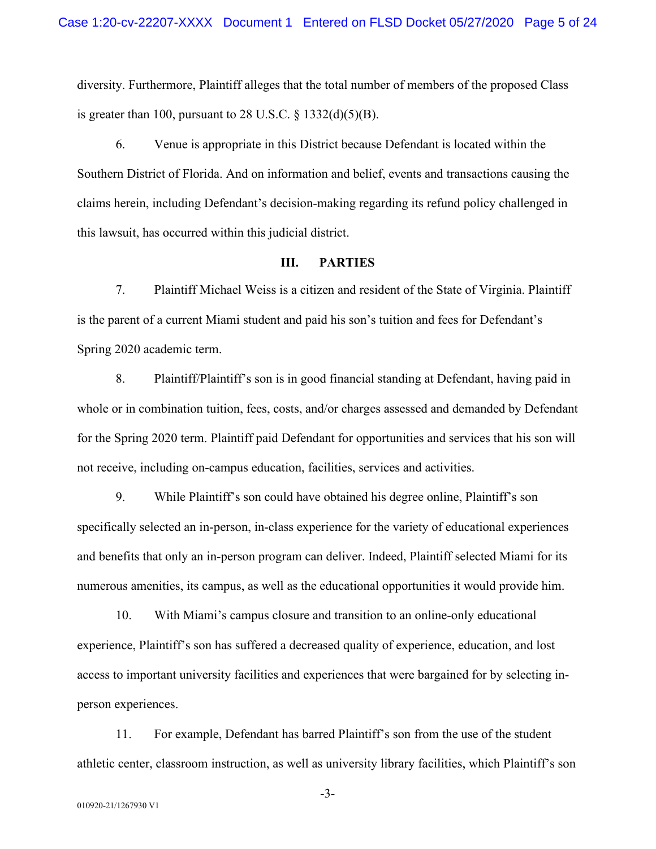diversity. Furthermore, Plaintiff alleges that the total number of members of the proposed Class is greater than 100, pursuant to 28 U.S.C.  $\S$  1332(d)(5)(B).

6. Venue is appropriate in this District because Defendant is located within the Southern District of Florida. And on information and belief, events and transactions causing the claims herein, including Defendant's decision-making regarding its refund policy challenged in this lawsuit, has occurred within this judicial district.

### **III. PARTIES**

7. Plaintiff Michael Weiss is a citizen and resident of the State of Virginia. Plaintiff is the parent of a current Miami student and paid his son's tuition and fees for Defendant's Spring 2020 academic term.

8. Plaintiff/Plaintiff's son is in good financial standing at Defendant, having paid in whole or in combination tuition, fees, costs, and/or charges assessed and demanded by Defendant for the Spring 2020 term. Plaintiff paid Defendant for opportunities and services that his son will not receive, including on-campus education, facilities, services and activities.

9. While Plaintiff's son could have obtained his degree online, Plaintiff's son specifically selected an in-person, in-class experience for the variety of educational experiences and benefits that only an in-person program can deliver. Indeed, Plaintiff selected Miami for its numerous amenities, its campus, as well as the educational opportunities it would provide him.

10. With Miami's campus closure and transition to an online-only educational experience, Plaintiff's son has suffered a decreased quality of experience, education, and lost access to important university facilities and experiences that were bargained for by selecting inperson experiences.

11. For example, Defendant has barred Plaintiff's son from the use of the student athletic center, classroom instruction, as well as university library facilities, which Plaintiff's son

-3-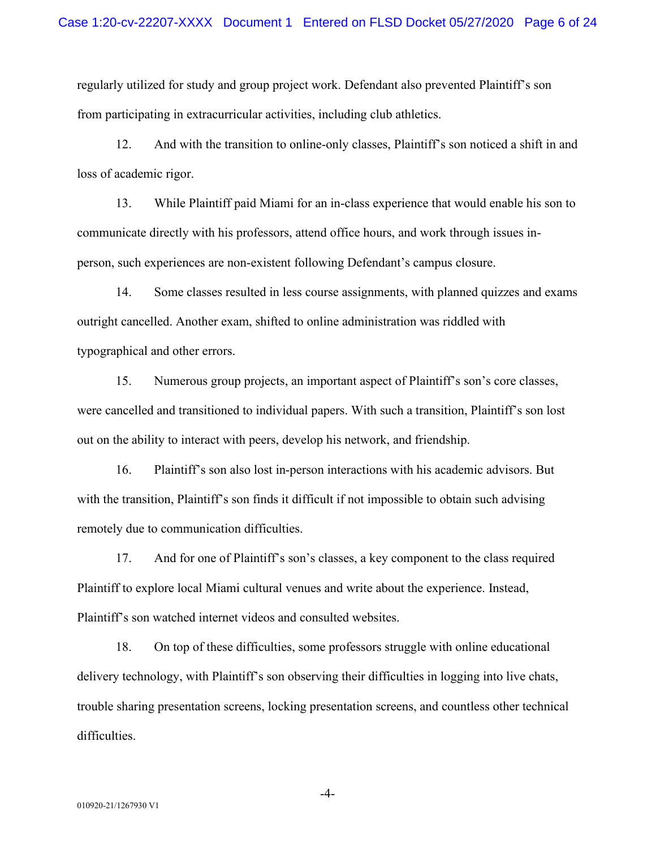regularly utilized for study and group project work. Defendant also prevented Plaintiff's son from participating in extracurricular activities, including club athletics.

12. And with the transition to online-only classes, Plaintiff's son noticed a shift in and loss of academic rigor.

13. While Plaintiff paid Miami for an in-class experience that would enable his son to communicate directly with his professors, attend office hours, and work through issues inperson, such experiences are non-existent following Defendant's campus closure.

14. Some classes resulted in less course assignments, with planned quizzes and exams outright cancelled. Another exam, shifted to online administration was riddled with typographical and other errors.

15. Numerous group projects, an important aspect of Plaintiff's son's core classes, were cancelled and transitioned to individual papers. With such a transition, Plaintiff's son lost out on the ability to interact with peers, develop his network, and friendship.

16. Plaintiff's son also lost in-person interactions with his academic advisors. But with the transition, Plaintiff's son finds it difficult if not impossible to obtain such advising remotely due to communication difficulties.

17. And for one of Plaintiff's son's classes, a key component to the class required Plaintiff to explore local Miami cultural venues and write about the experience. Instead, Plaintiff's son watched internet videos and consulted websites.

18. On top of these difficulties, some professors struggle with online educational delivery technology, with Plaintiff's son observing their difficulties in logging into live chats, trouble sharing presentation screens, locking presentation screens, and countless other technical difficulties.

-4-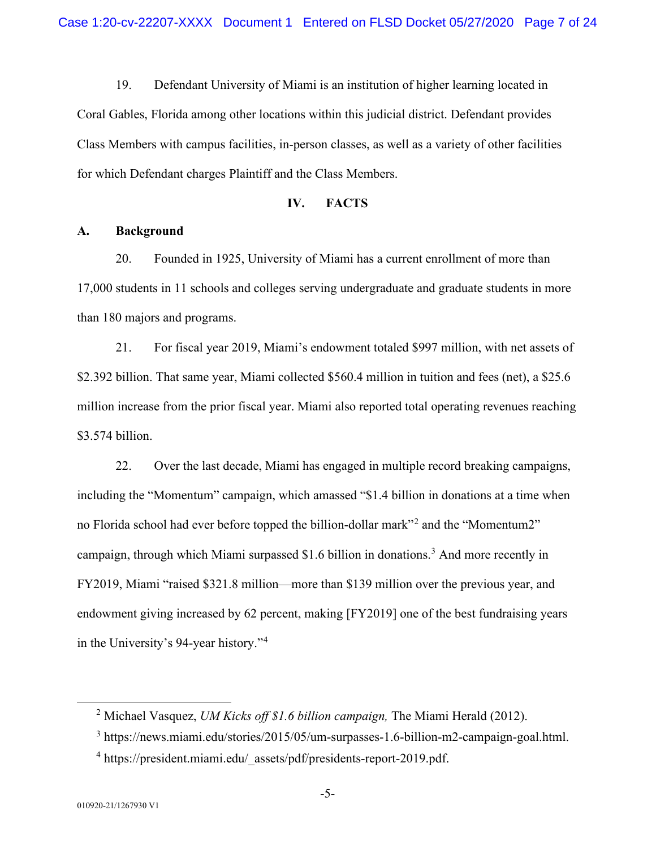19. Defendant University of Miami is an institution of higher learning located in Coral Gables, Florida among other locations within this judicial district. Defendant provides Class Members with campus facilities, in-person classes, as well as a variety of other facilities for which Defendant charges Plaintiff and the Class Members.

### **IV. FACTS**

### **A. Background**

20. Founded in 1925, University of Miami has a current enrollment of more than 17,000 students in 11 schools and colleges serving undergraduate and graduate students in more than 180 majors and programs.

21. For fiscal year 2019, Miami's endowment totaled \$997 million, with net assets of \$2.392 billion. That same year, Miami collected \$560.4 million in tuition and fees (net), a \$25.6 million increase from the prior fiscal year. Miami also reported total operating revenues reaching \$3.574 billion.

22. Over the last decade, Miami has engaged in multiple record breaking campaigns, including the "Momentum" campaign, which amassed "\$1.4 billion in donations at a time when no Florida school had ever before topped the billion-dollar mark"[2](#page-6-0) and the "Momentum2" campaign, through which Miami surpassed \$1.6 billion in donations.<sup>[3](#page-6-1)</sup> And more recently in FY2019, Miami "raised \$321.8 million—more than \$139 million over the previous year, and endowment giving increased by 62 percent, making [FY2019] one of the best fundraising years in the University's 94-year history."[4](#page-6-2)

<span id="page-6-0"></span><sup>2</sup> Michael Vasquez, *UM Kicks off \$1.6 billion campaign,* The Miami Herald (2012).

<span id="page-6-1"></span><sup>3</sup> https://news.miami.edu/stories/2015/05/um-surpasses-1.6-billion-m2-campaign-goal.html.

<span id="page-6-2"></span><sup>&</sup>lt;sup>4</sup> https://president.miami.edu/\_assets/pdf/presidents-report-2019.pdf.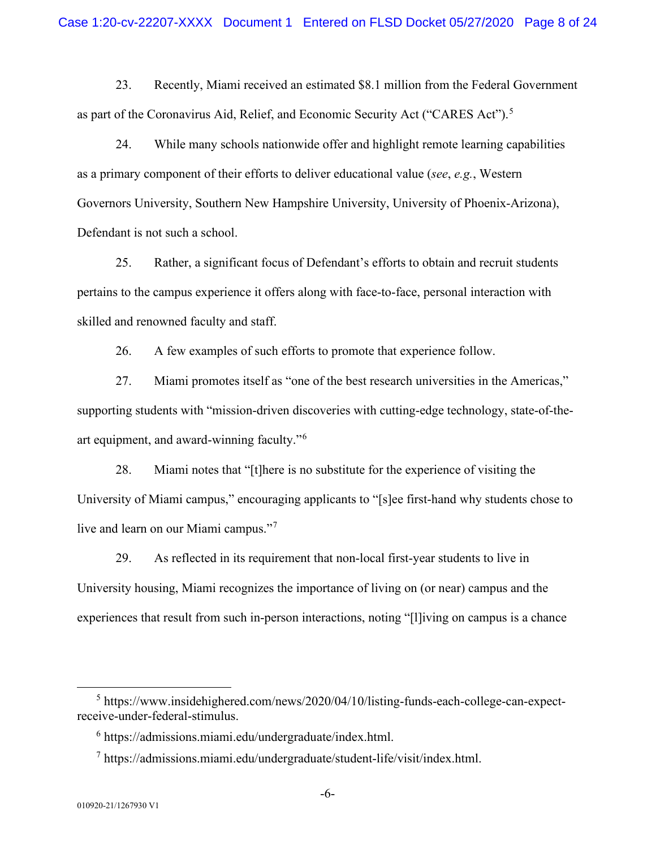23. Recently, Miami received an estimated \$8.1 million from the Federal Government as part of the Coronavirus Aid, Relief, and Economic Security Act ("CARES Act").<sup>[5](#page-7-0)</sup>

24. While many schools nationwide offer and highlight remote learning capabilities as a primary component of their efforts to deliver educational value (*see*, *e.g.*, Western Governors University, Southern New Hampshire University, University of Phoenix-Arizona), Defendant is not such a school.

25. Rather, a significant focus of Defendant's efforts to obtain and recruit students pertains to the campus experience it offers along with face-to-face, personal interaction with skilled and renowned faculty and staff.

26. A few examples of such efforts to promote that experience follow.

27. Miami promotes itself as "one of the best research universities in the Americas," supporting students with "mission-driven discoveries with cutting-edge technology, state-of-theart equipment, and award-winning faculty."[6](#page-7-1)

28. Miami notes that "[t]here is no substitute for the experience of visiting the University of Miami campus," encouraging applicants to "[s]ee first-hand why students chose to live and learn on our Miami campus."<sup>[7](#page-7-2)</sup>

29. As reflected in its requirement that non-local first-year students to live in University housing, Miami recognizes the importance of living on (or near) campus and the experiences that result from such in-person interactions, noting "[l]iving on campus is a chance

<span id="page-7-2"></span><span id="page-7-1"></span><span id="page-7-0"></span><sup>5</sup> https://www.insidehighered.com/news/2020/04/10/listing-funds-each-college-can-expectreceive-under-federal-stimulus.

 $6$  https://admissions.miami.edu/undergraduate/index.html.

 $^7$  https://admissions.miami.edu/undergraduate/student-life/visit/index.html.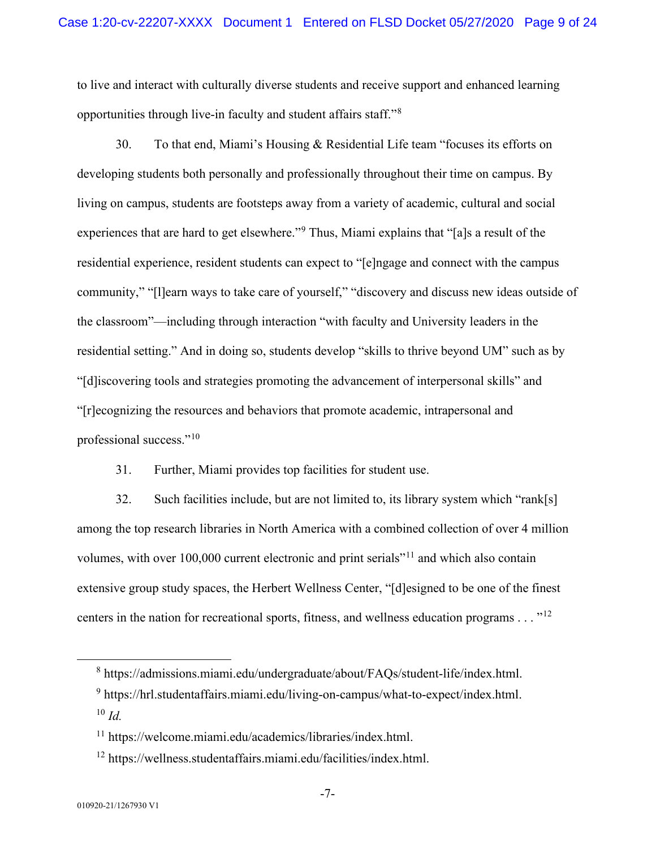to live and interact with culturally diverse students and receive support and enhanced learning opportunities through live-in faculty and student affairs staff."[8](#page-8-0)

30. To that end, Miami's Housing & Residential Life team "focuses its efforts on developing students both personally and professionally throughout their time on campus. By living on campus, students are footsteps away from a variety of academic, cultural and social experiences that are hard to get elsewhere."[9](#page-8-1) Thus, Miami explains that "[a]s a result of the residential experience, resident students can expect to "[e]ngage and connect with the campus community," "[l]earn ways to take care of yourself," "discovery and discuss new ideas outside of the classroom"—including through interaction "with faculty and University leaders in the residential setting." And in doing so, students develop "skills to thrive beyond UM" such as by "[d]iscovering tools and strategies promoting the advancement of interpersonal skills" and "[r]ecognizing the resources and behaviors that promote academic, intrapersonal and professional success."[10](#page-8-2)

31. Further, Miami provides top facilities for student use.

32. Such facilities include, but are not limited to, its library system which "rank[s] among the top research libraries in North America with a combined collection of over 4 million volumes, with over 100,000 current electronic and print serials"[11](#page-8-3) and which also contain extensive group study spaces, the Herbert Wellness Center, "[d]esigned to be one of the finest centers in the nation for recreational sports, fitness, and wellness education programs  $\dots$ <sup>[12](#page-8-4)</sup>

<span id="page-8-0"></span><sup>8</sup> https://admissions.miami.edu/undergraduate/about/FAQs/student-life/index.html.

<span id="page-8-2"></span><span id="page-8-1"></span> $9$  https://hrl.studentaffairs.miami.edu/living-on-campus/what-to-expect/index.html. <sup>10</sup> *Id.*

<span id="page-8-3"></span><sup>11</sup> https://welcome.miami.edu/academics/libraries/index.html.

<span id="page-8-4"></span><sup>12</sup> https://wellness.studentaffairs.miami.edu/facilities/index.html.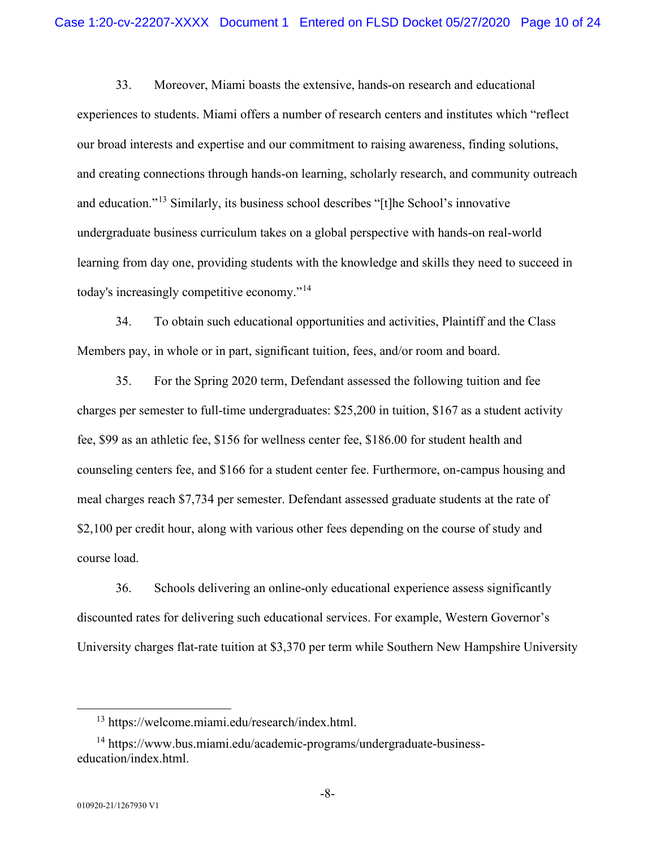33. Moreover, Miami boasts the extensive, hands-on research and educational experiences to students. Miami offers a number of research centers and institutes which "reflect our broad interests and expertise and our commitment to raising awareness, finding solutions, and creating connections through hands-on learning, scholarly research, and community outreach and education."[13](#page-9-0) Similarly, its business school describes "[t]he School's innovative undergraduate business curriculum takes on a global perspective with hands-on real-world learning from day one, providing students with the knowledge and skills they need to succeed in today's increasingly competitive economy."[14](#page-9-1)

34. To obtain such educational opportunities and activities, Plaintiff and the Class Members pay, in whole or in part, significant tuition, fees, and/or room and board.

35. For the Spring 2020 term, Defendant assessed the following tuition and fee charges per semester to full-time undergraduates: \$25,200 in tuition, \$167 as a student activity fee, \$99 as an athletic fee, \$156 for wellness center fee, \$186.00 for student health and counseling centers fee, and \$166 for a student center fee. Furthermore, on-campus housing and meal charges reach \$7,734 per semester. Defendant assessed graduate students at the rate of \$2,100 per credit hour, along with various other fees depending on the course of study and course load.

36. Schools delivering an online-only educational experience assess significantly discounted rates for delivering such educational services. For example, Western Governor's University charges flat-rate tuition at \$3,370 per term while Southern New Hampshire University

<sup>13</sup> https://welcome.miami.edu/research/index.html.

<span id="page-9-1"></span><span id="page-9-0"></span><sup>&</sup>lt;sup>14</sup> https://www.bus.miami.edu/academic-programs/undergraduate-businesseducation/index.html.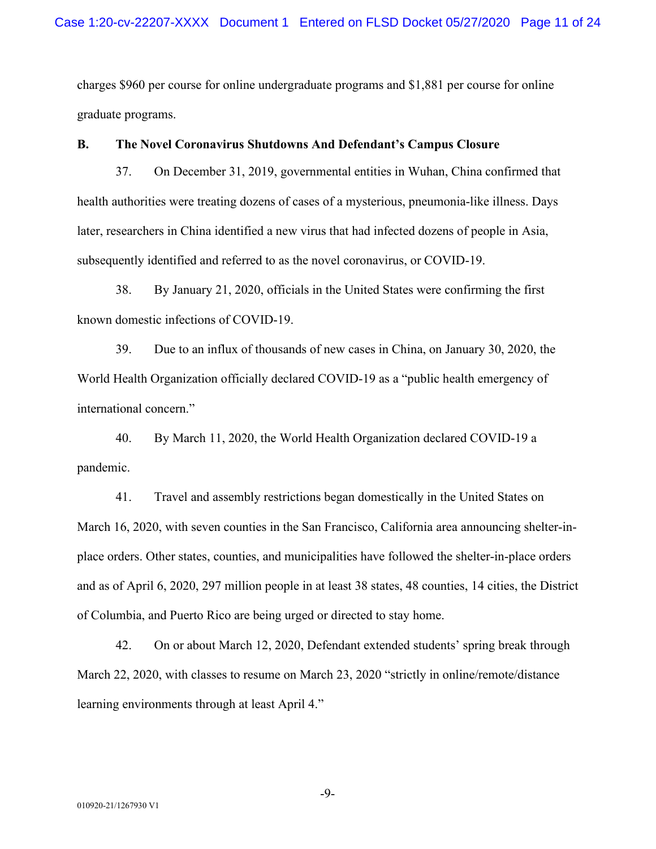charges \$960 per course for online undergraduate programs and \$1,881 per course for online graduate programs.

### **B. The Novel Coronavirus Shutdowns And Defendant's Campus Closure**

37. On December 31, 2019, governmental entities in Wuhan, China confirmed that health authorities were treating dozens of cases of a mysterious, pneumonia-like illness. Days later, researchers in China identified a new virus that had infected dozens of people in Asia, subsequently identified and referred to as the novel coronavirus, or COVID-19.

38. By January 21, 2020, officials in the United States were confirming the first known domestic infections of COVID-19.

39. Due to an influx of thousands of new cases in China, on January 30, 2020, the World Health Organization officially declared COVID-19 as a "public health emergency of international concern."

40. By March 11, 2020, the World Health Organization declared COVID-19 a pandemic.

41. Travel and assembly restrictions began domestically in the United States on March 16, 2020, with seven counties in the San Francisco, California area announcing shelter-inplace orders. Other states, counties, and municipalities have followed the shelter-in-place orders and as of April 6, 2020, 297 million people in at least 38 states, 48 counties, 14 cities, the District of Columbia, and Puerto Rico are being urged or directed to stay home.

42. On or about March 12, 2020, Defendant extended students' spring break through March 22, 2020, with classes to resume on March 23, 2020 "strictly in online/remote/distance learning environments through at least April 4."

-9-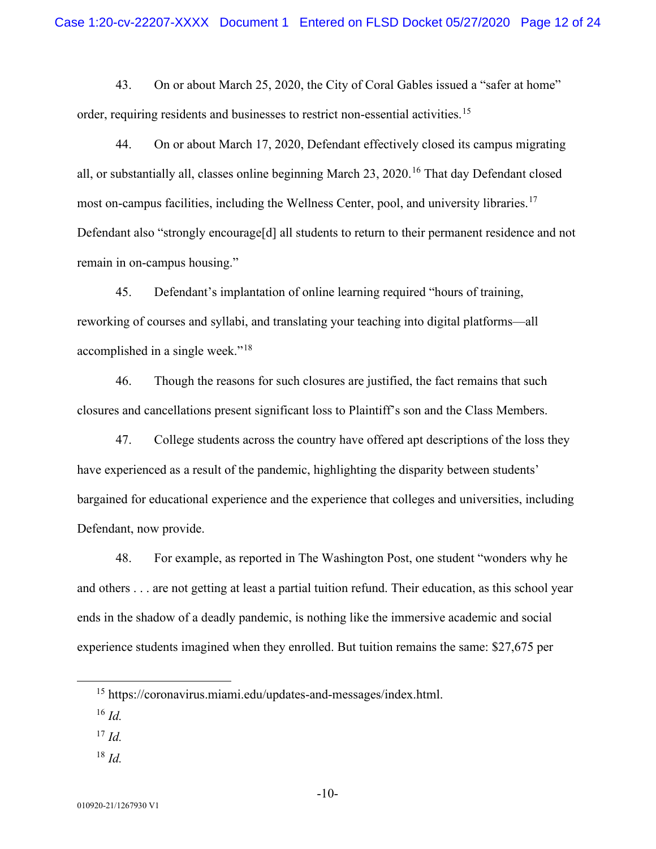43. On or about March 25, 2020, the City of Coral Gables issued a "safer at home" order, requiring residents and businesses to restrict non-essential activities.<sup>[15](#page-11-0)</sup>

44. On or about March 17, 2020, Defendant effectively closed its campus migrating all, or substantially all, classes online beginning March 23, 2020.<sup>[16](#page-11-1)</sup> That day Defendant closed most on-campus facilities, including the Wellness Center, pool, and university libraries.<sup>[17](#page-11-2)</sup> Defendant also "strongly encourage[d] all students to return to their permanent residence and not remain in on-campus housing."

45. Defendant's implantation of online learning required "hours of training, reworking of courses and syllabi, and translating your teaching into digital platforms—all accomplished in a single week."[18](#page-11-3)

46. Though the reasons for such closures are justified, the fact remains that such closures and cancellations present significant loss to Plaintiff's son and the Class Members.

47. College students across the country have offered apt descriptions of the loss they have experienced as a result of the pandemic, highlighting the disparity between students' bargained for educational experience and the experience that colleges and universities, including Defendant, now provide.

48. For example, as reported in The Washington Post, one student "wonders why he and others . . . are not getting at least a partial tuition refund. Their education, as this school year ends in the shadow of a deadly pandemic, is nothing like the immersive academic and social experience students imagined when they enrolled. But tuition remains the same: \$27,675 per

- <span id="page-11-2"></span><sup>17</sup> *Id.*
- <span id="page-11-3"></span><sup>18</sup> *Id.*

<span id="page-11-0"></span><sup>15</sup> https://coronavirus.miami.edu/updates-and-messages/index.html.

<span id="page-11-1"></span><sup>16</sup> *Id.*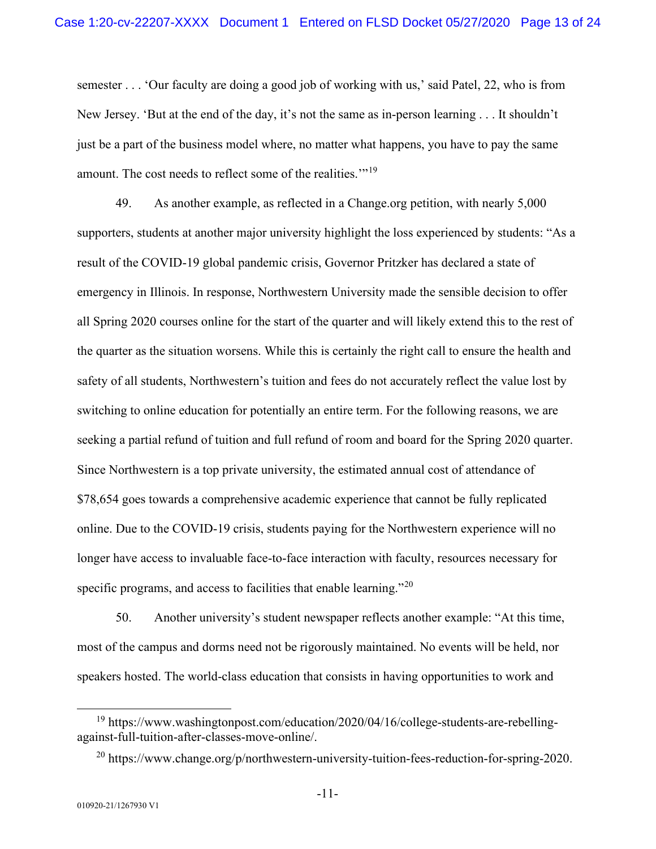semester . . . 'Our faculty are doing a good job of working with us,' said Patel, 22, who is from New Jersey. 'But at the end of the day, it's not the same as in-person learning . . . It shouldn't just be a part of the business model where, no matter what happens, you have to pay the same amount. The cost needs to reflect some of the realities."<sup>[19](#page-12-0)</sup>

49. As another example, as reflected in a Change.org petition, with nearly 5,000 supporters, students at another major university highlight the loss experienced by students: "As a result of the COVID-19 global pandemic crisis, Governor Pritzker has declared a state of emergency in Illinois. In response, Northwestern University made the sensible decision to offer all Spring 2020 courses online for the start of the quarter and will likely extend this to the rest of the quarter as the situation worsens. While this is certainly the right call to ensure the health and safety of all students, Northwestern's tuition and fees do not accurately reflect the value lost by switching to online education for potentially an entire term. For the following reasons, we are seeking a partial refund of tuition and full refund of room and board for the Spring 2020 quarter. Since Northwestern is a top private university, the estimated annual cost of attendance of \$78,654 goes towards a comprehensive academic experience that cannot be fully replicated online. Due to the COVID-19 crisis, students paying for the Northwestern experience will no longer have access to invaluable face-to-face interaction with faculty, resources necessary for specific programs, and access to facilities that enable learning."<sup>[20](#page-12-1)</sup>

50. Another university's student newspaper reflects another example: "At this time, most of the campus and dorms need not be rigorously maintained. No events will be held, nor speakers hosted. The world-class education that consists in having opportunities to work and

<span id="page-12-1"></span><span id="page-12-0"></span><sup>&</sup>lt;sup>19</sup> https://www.washingtonpost.com/education/2020/04/16/college-students-are-rebellingagainst-full-tuition-after-classes-move-online/.

<sup>&</sup>lt;sup>20</sup> https://www.change.org/p/northwestern-university-tuition-fees-reduction-for-spring-2020.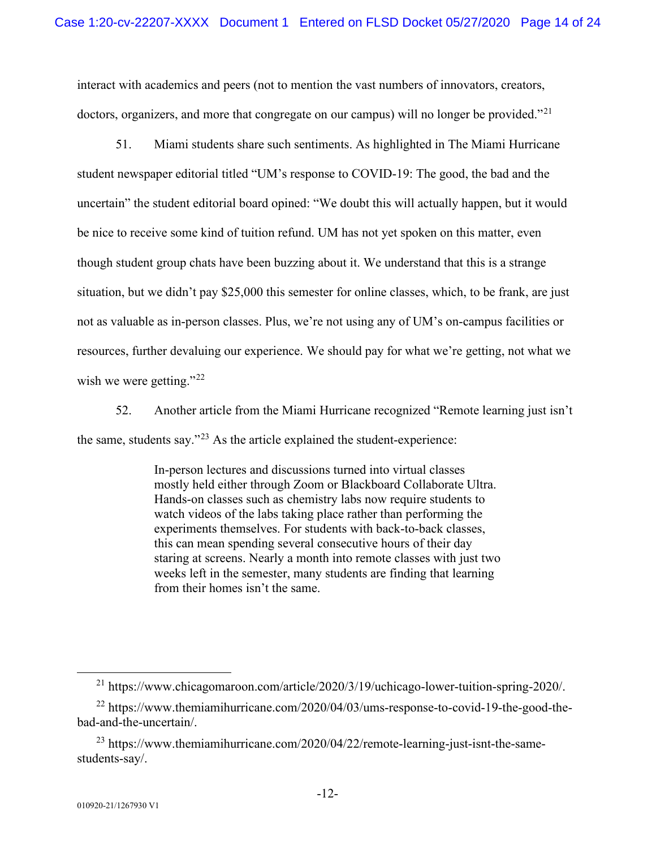interact with academics and peers (not to mention the vast numbers of innovators, creators, doctors, organizers, and more that congregate on our campus) will no longer be provided."<sup>[21](#page-13-0)</sup>

51. Miami students share such sentiments. As highlighted in The Miami Hurricane student newspaper editorial titled "UM's response to COVID-19: The good, the bad and the uncertain" the student editorial board opined: "We doubt this will actually happen, but it would be nice to receive some kind of tuition refund. UM has not yet spoken on this matter, even though student group chats have been buzzing about it. We understand that this is a strange situation, but we didn't pay \$25,000 this semester for online classes, which, to be frank, are just not as valuable as in-person classes. Plus, we're not using any of UM's on-campus facilities or resources, further devaluing our experience. We should pay for what we're getting, not what we wish we were getting."<sup>[22](#page-13-1)</sup>

52. Another article from the Miami Hurricane recognized "Remote learning just isn't the same, students say."[23](#page-13-2) As the article explained the student-experience:

> In-person lectures and discussions turned into virtual classes mostly held either through Zoom or Blackboard Collaborate Ultra. Hands-on classes such as chemistry labs now require students to watch videos of the labs taking place rather than performing the experiments themselves. For students with back-to-back classes, this can mean spending several consecutive hours of their day staring at screens. Nearly a month into remote classes with just two weeks left in the semester, many students are finding that learning from their homes isn't the same.

 $^{21}$  https://www.chicagomaroon.com/article/2020/3/19/uchicago-lower-tuition-spring-2020/.

<span id="page-13-1"></span><span id="page-13-0"></span> $^{22}$  https://www.themiamihurricane.com/2020/04/03/ums-response-to-covid-19-the-good-thebad-and-the-uncertain/.

<span id="page-13-2"></span><sup>23</sup> https://www.themiamihurricane.com/2020/04/22/remote-learning-just-isnt-the-samestudents-say/.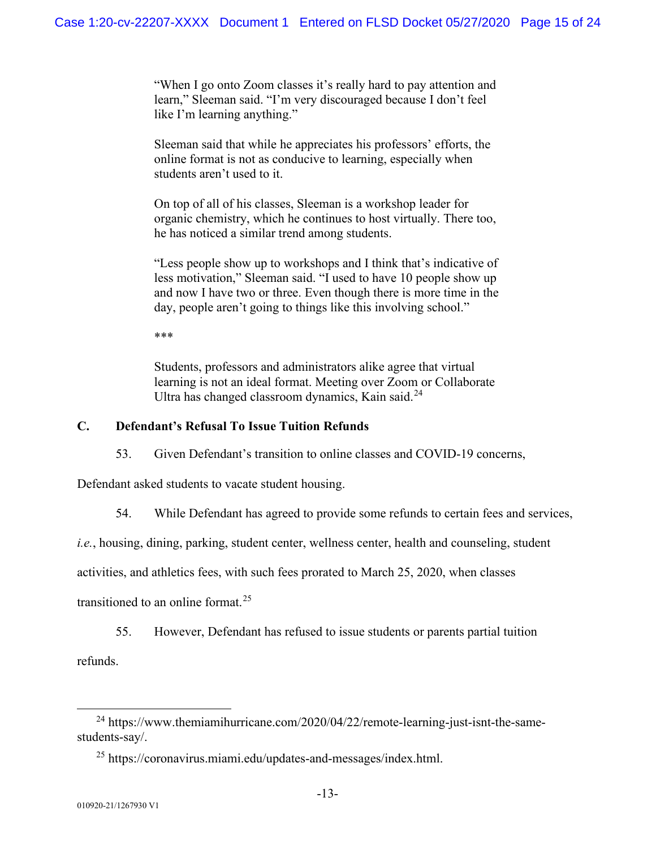"When I go onto Zoom classes it's really hard to pay attention and learn," Sleeman said. "I'm very discouraged because I don't feel like I'm learning anything."

Sleeman said that while he appreciates his professors' efforts, the online format is not as conducive to learning, especially when students aren't used to it.

On top of all of his classes, Sleeman is a workshop leader for organic chemistry, which he continues to host virtually. There too, he has noticed a similar trend among students.

"Less people show up to workshops and I think that's indicative of less motivation," Sleeman said. "I used to have 10 people show up and now I have two or three. Even though there is more time in the day, people aren't going to things like this involving school."

\*\*\*

Students, professors and administrators alike agree that virtual learning is not an ideal format. Meeting over Zoom or Collaborate Ultra has changed classroom dynamics, Kain said.<sup>[24](#page-14-0)</sup>

### **C. Defendant's Refusal To Issue Tuition Refunds**

53. Given Defendant's transition to online classes and COVID-19 concerns,

Defendant asked students to vacate student housing.

54. While Defendant has agreed to provide some refunds to certain fees and services,

*i.e.*, housing, dining, parking, student center, wellness center, health and counseling, student

activities, and athletics fees, with such fees prorated to March 25, 2020, when classes

transitioned to an online format.<sup>[25](#page-14-1)</sup>

55. However, Defendant has refused to issue students or parents partial tuition

refunds.

<span id="page-14-1"></span><span id="page-14-0"></span> $^{24}$  https://www.themiamihurricane.com/2020/04/22/remote-learning-just-isnt-the-samestudents-say/.

<sup>25</sup> https://coronavirus.miami.edu/updates-and-messages/index.html.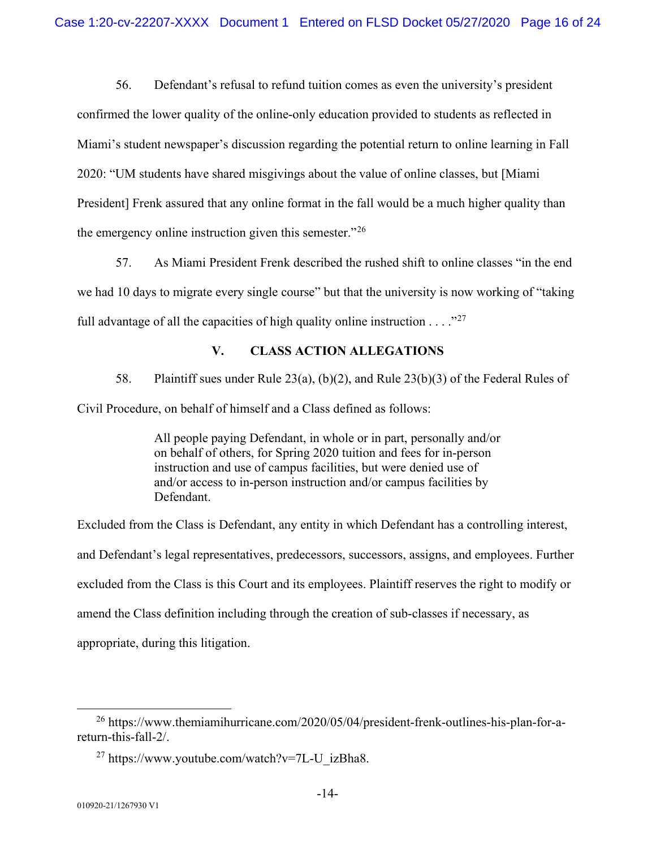56. Defendant's refusal to refund tuition comes as even the university's president confirmed the lower quality of the online-only education provided to students as reflected in Miami's student newspaper's discussion regarding the potential return to online learning in Fall 2020: "UM students have shared misgivings about the value of online classes, but [Miami President] Frenk assured that any online format in the fall would be a much higher quality than the emergency online instruction given this semester."<sup>[26](#page-15-0)</sup>

57. As Miami President Frenk described the rushed shift to online classes "in the end we had 10 days to migrate every single course" but that the university is now working of "taking full advantage of all the capacities of high quality online instruction  $\dots$  ."<sup>[27](#page-15-1)</sup>

### **V. CLASS ACTION ALLEGATIONS**

58. Plaintiff sues under Rule 23(a), (b)(2), and Rule 23(b)(3) of the Federal Rules of Civil Procedure, on behalf of himself and a Class defined as follows:

> All people paying Defendant, in whole or in part, personally and/or on behalf of others, for Spring 2020 tuition and fees for in-person instruction and use of campus facilities, but were denied use of and/or access to in-person instruction and/or campus facilities by Defendant.

Excluded from the Class is Defendant, any entity in which Defendant has a controlling interest, and Defendant's legal representatives, predecessors, successors, assigns, and employees. Further excluded from the Class is this Court and its employees. Plaintiff reserves the right to modify or amend the Class definition including through the creation of sub-classes if necessary, as appropriate, during this litigation.

<span id="page-15-1"></span><span id="page-15-0"></span><sup>&</sup>lt;sup>26</sup> https://www.themiamihurricane.com/2020/05/04/president-frenk-outlines-his-plan-for-areturn-this-fall-2/.

<sup>&</sup>lt;sup>27</sup> https://www.youtube.com/watch?v=7L-U\_izBha8.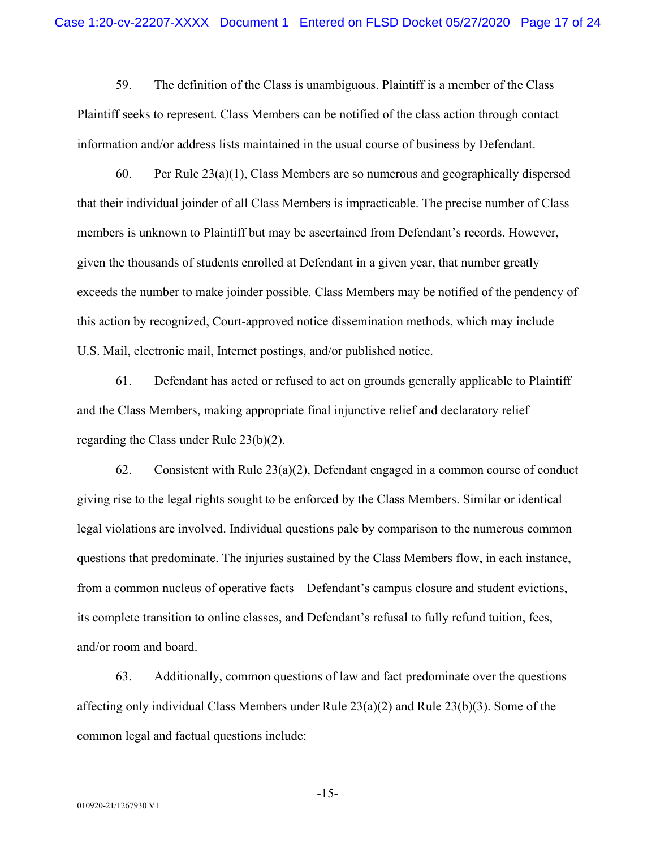59. The definition of the Class is unambiguous. Plaintiff is a member of the Class Plaintiff seeks to represent. Class Members can be notified of the class action through contact information and/or address lists maintained in the usual course of business by Defendant.

60. Per Rule 23(a)(1), Class Members are so numerous and geographically dispersed that their individual joinder of all Class Members is impracticable. The precise number of Class members is unknown to Plaintiff but may be ascertained from Defendant's records. However, given the thousands of students enrolled at Defendant in a given year, that number greatly exceeds the number to make joinder possible. Class Members may be notified of the pendency of this action by recognized, Court-approved notice dissemination methods, which may include U.S. Mail, electronic mail, Internet postings, and/or published notice.

61. Defendant has acted or refused to act on grounds generally applicable to Plaintiff and the Class Members, making appropriate final injunctive relief and declaratory relief regarding the Class under Rule 23(b)(2).

62. Consistent with Rule  $23(a)(2)$ , Defendant engaged in a common course of conduct giving rise to the legal rights sought to be enforced by the Class Members. Similar or identical legal violations are involved. Individual questions pale by comparison to the numerous common questions that predominate. The injuries sustained by the Class Members flow, in each instance, from a common nucleus of operative facts—Defendant's campus closure and student evictions, its complete transition to online classes, and Defendant's refusal to fully refund tuition, fees, and/or room and board.

63. Additionally, common questions of law and fact predominate over the questions affecting only individual Class Members under Rule 23(a)(2) and Rule 23(b)(3). Some of the common legal and factual questions include:

-15-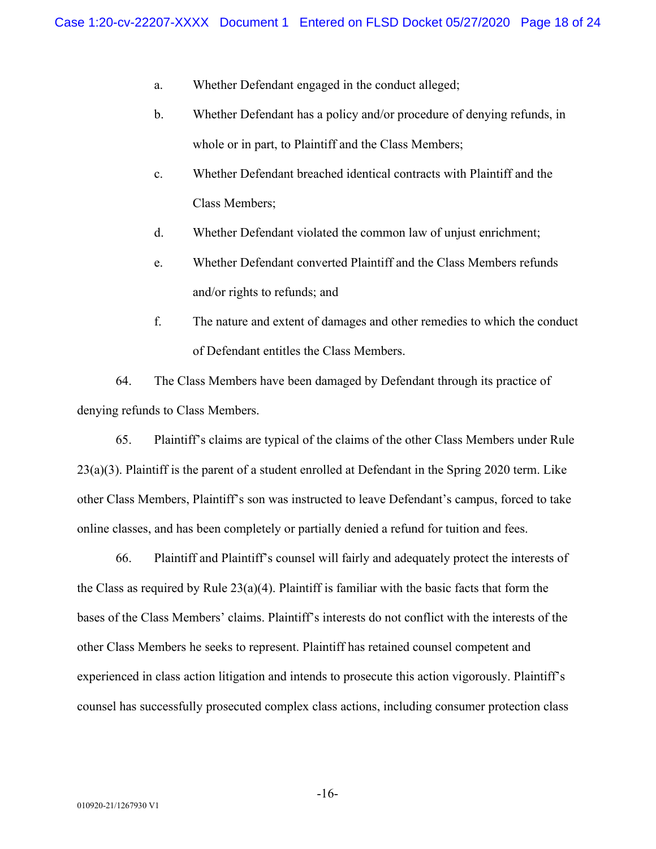- a. Whether Defendant engaged in the conduct alleged;
- b. Whether Defendant has a policy and/or procedure of denying refunds, in whole or in part, to Plaintiff and the Class Members;
- c. Whether Defendant breached identical contracts with Plaintiff and the Class Members;
- d. Whether Defendant violated the common law of unjust enrichment;
- e. Whether Defendant converted Plaintiff and the Class Members refunds and/or rights to refunds; and
- f. The nature and extent of damages and other remedies to which the conduct of Defendant entitles the Class Members.

64. The Class Members have been damaged by Defendant through its practice of denying refunds to Class Members.

65. Plaintiff's claims are typical of the claims of the other Class Members under Rule  $23(a)(3)$ . Plaintiff is the parent of a student enrolled at Defendant in the Spring 2020 term. Like other Class Members, Plaintiff's son was instructed to leave Defendant's campus, forced to take online classes, and has been completely or partially denied a refund for tuition and fees.

66. Plaintiff and Plaintiff's counsel will fairly and adequately protect the interests of the Class as required by Rule  $23(a)(4)$ . Plaintiff is familiar with the basic facts that form the bases of the Class Members' claims. Plaintiff's interests do not conflict with the interests of the other Class Members he seeks to represent. Plaintiff has retained counsel competent and experienced in class action litigation and intends to prosecute this action vigorously. Plaintiff's counsel has successfully prosecuted complex class actions, including consumer protection class

-16-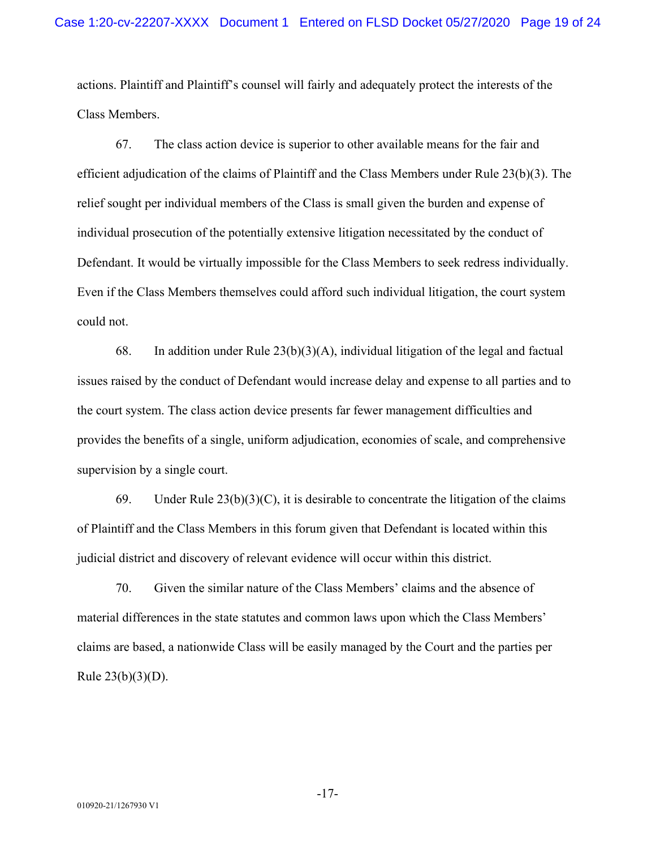actions. Plaintiff and Plaintiff's counsel will fairly and adequately protect the interests of the Class Members.

67. The class action device is superior to other available means for the fair and efficient adjudication of the claims of Plaintiff and the Class Members under Rule 23(b)(3). The relief sought per individual members of the Class is small given the burden and expense of individual prosecution of the potentially extensive litigation necessitated by the conduct of Defendant. It would be virtually impossible for the Class Members to seek redress individually. Even if the Class Members themselves could afford such individual litigation, the court system could not.

68. In addition under Rule  $23(b)(3)(A)$ , individual litigation of the legal and factual issues raised by the conduct of Defendant would increase delay and expense to all parties and to the court system. The class action device presents far fewer management difficulties and provides the benefits of a single, uniform adjudication, economies of scale, and comprehensive supervision by a single court.

69. Under Rule  $23(b)(3)(C)$ , it is desirable to concentrate the litigation of the claims of Plaintiff and the Class Members in this forum given that Defendant is located within this judicial district and discovery of relevant evidence will occur within this district.

70. Given the similar nature of the Class Members' claims and the absence of material differences in the state statutes and common laws upon which the Class Members' claims are based, a nationwide Class will be easily managed by the Court and the parties per Rule 23(b)(3)(D).

-17-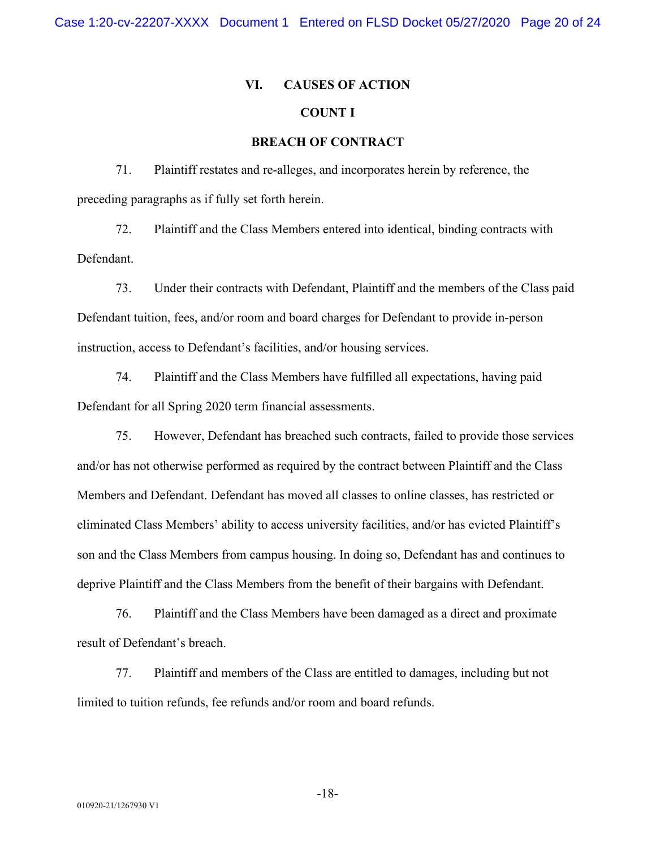# **VI. CAUSES OF ACTION**

## **COUNT I**

### **BREACH OF CONTRACT**

71. Plaintiff restates and re-alleges, and incorporates herein by reference, the preceding paragraphs as if fully set forth herein.

72. Plaintiff and the Class Members entered into identical, binding contracts with Defendant.

73. Under their contracts with Defendant, Plaintiff and the members of the Class paid Defendant tuition, fees, and/or room and board charges for Defendant to provide in-person instruction, access to Defendant's facilities, and/or housing services.

74. Plaintiff and the Class Members have fulfilled all expectations, having paid Defendant for all Spring 2020 term financial assessments.

75. However, Defendant has breached such contracts, failed to provide those services and/or has not otherwise performed as required by the contract between Plaintiff and the Class Members and Defendant. Defendant has moved all classes to online classes, has restricted or eliminated Class Members' ability to access university facilities, and/or has evicted Plaintiff's son and the Class Members from campus housing. In doing so, Defendant has and continues to deprive Plaintiff and the Class Members from the benefit of their bargains with Defendant.

76. Plaintiff and the Class Members have been damaged as a direct and proximate result of Defendant's breach.

77. Plaintiff and members of the Class are entitled to damages, including but not limited to tuition refunds, fee refunds and/or room and board refunds.

-18-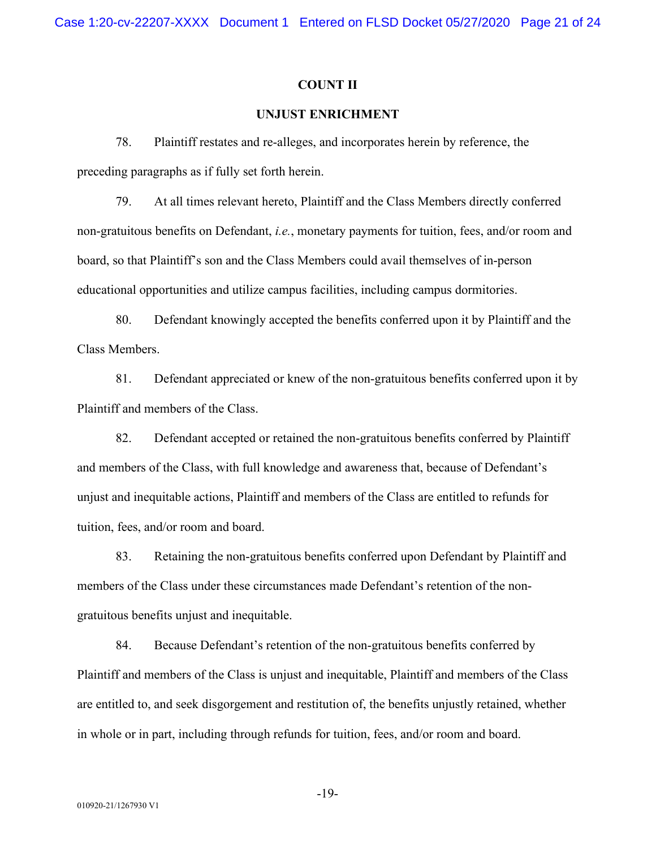### **COUNT II**

### **UNJUST ENRICHMENT**

78. Plaintiff restates and re-alleges, and incorporates herein by reference, the preceding paragraphs as if fully set forth herein.

79. At all times relevant hereto, Plaintiff and the Class Members directly conferred non-gratuitous benefits on Defendant, *i.e.*, monetary payments for tuition, fees, and/or room and board, so that Plaintiff's son and the Class Members could avail themselves of in-person educational opportunities and utilize campus facilities, including campus dormitories.

80. Defendant knowingly accepted the benefits conferred upon it by Plaintiff and the Class Members.

81. Defendant appreciated or knew of the non-gratuitous benefits conferred upon it by Plaintiff and members of the Class.

82. Defendant accepted or retained the non-gratuitous benefits conferred by Plaintiff and members of the Class, with full knowledge and awareness that, because of Defendant's unjust and inequitable actions, Plaintiff and members of the Class are entitled to refunds for tuition, fees, and/or room and board.

83. Retaining the non-gratuitous benefits conferred upon Defendant by Plaintiff and members of the Class under these circumstances made Defendant's retention of the nongratuitous benefits unjust and inequitable.

84. Because Defendant's retention of the non-gratuitous benefits conferred by Plaintiff and members of the Class is unjust and inequitable, Plaintiff and members of the Class are entitled to, and seek disgorgement and restitution of, the benefits unjustly retained, whether in whole or in part, including through refunds for tuition, fees, and/or room and board.

-19-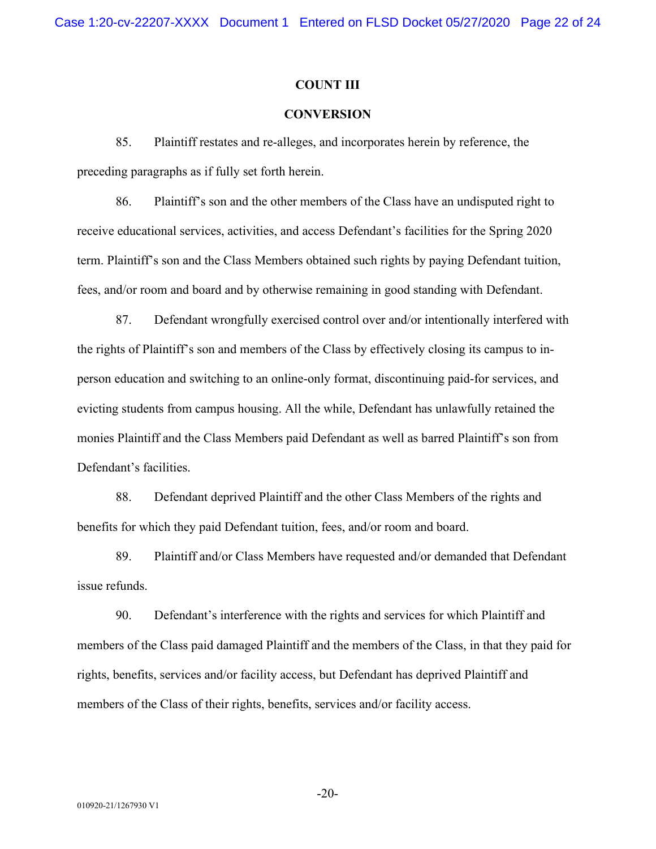Case 1:20-cv-22207-XXXX Document 1 Entered on FLSD Docket 05/27/2020 Page 22 of 24

### **COUNT III**

### **CONVERSION**

85. Plaintiff restates and re-alleges, and incorporates herein by reference, the preceding paragraphs as if fully set forth herein.

86. Plaintiff's son and the other members of the Class have an undisputed right to receive educational services, activities, and access Defendant's facilities for the Spring 2020 term. Plaintiff's son and the Class Members obtained such rights by paying Defendant tuition, fees, and/or room and board and by otherwise remaining in good standing with Defendant.

87. Defendant wrongfully exercised control over and/or intentionally interfered with the rights of Plaintiff's son and members of the Class by effectively closing its campus to inperson education and switching to an online-only format, discontinuing paid-for services, and evicting students from campus housing. All the while, Defendant has unlawfully retained the monies Plaintiff and the Class Members paid Defendant as well as barred Plaintiff's son from Defendant's facilities.

88. Defendant deprived Plaintiff and the other Class Members of the rights and benefits for which they paid Defendant tuition, fees, and/or room and board.

89. Plaintiff and/or Class Members have requested and/or demanded that Defendant issue refunds.

90. Defendant's interference with the rights and services for which Plaintiff and members of the Class paid damaged Plaintiff and the members of the Class, in that they paid for rights, benefits, services and/or facility access, but Defendant has deprived Plaintiff and members of the Class of their rights, benefits, services and/or facility access.

-20-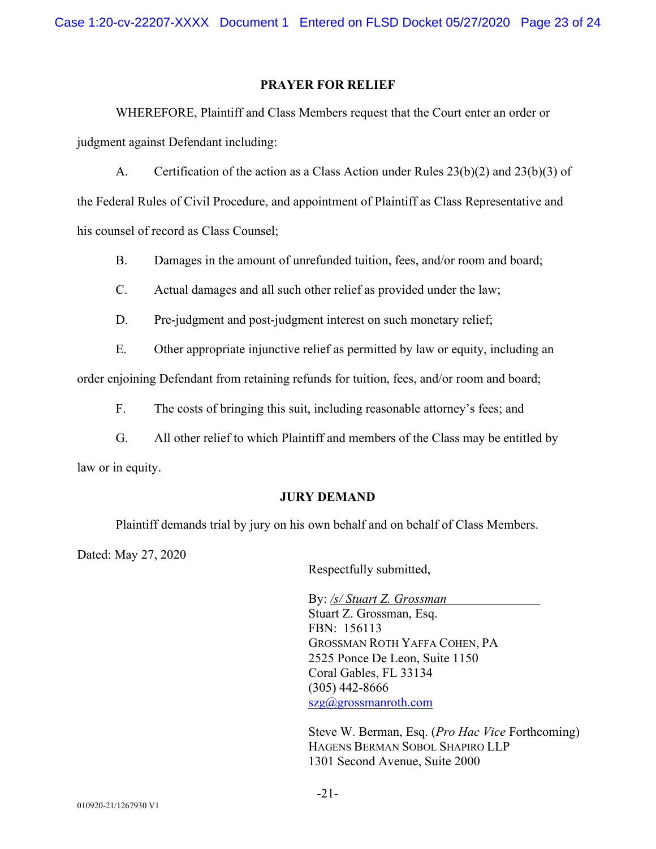Case 1:20-cv-22207-XXXX Document 1 Entered on FLSD Docket 05/27/2020 Page 23 of 24

### **PRAYER FOR RELIEF**

WHEREFORE, Plaintiff and Class Members request that the Court enter an order or judgment against Defendant including:

A. Certification of the action as a Class Action under Rules 23(b)(2) and 23(b)(3) of

the Federal Rules of Civil Procedure, and appointment of Plaintiff as Class Representative and his counsel of record as Class Counsel;

B. Damages in the amount of unrefunded tuition, fees, and/or room and board;

C. Actual damages and all such other relief as provided under the law;

D. Pre-judgment and post-judgment interest on such monetary relief;

E. Other appropriate injunctive relief as permitted by law or equity, including an

order enjoining Defendant from retaining refunds for tuition, fees, and/or room and board;

F. The costs of bringing this suit, including reasonable attorney's fees; and

G. All other relief to which Plaintiff and members of the Class may be entitled by law or in equity.

### **JURY DEMAND**

Plaintiff demands trial by jury on his own behalf and on behalf of Class Members.

Dated: May 27, 2020

Respectfully submitted,

By: */s/ Stuart Z. Grossman* Stuart Z. Grossman, Esq. FBN: 156113 GROSSMAN ROTH YAFFA COHEN, PA 2525 Ponce De Leon, Suite 1150 Coral Gables, FL 33134 (305) 442-8666 [szg@grossmanroth.com](mailto:szg@grossmanroth.com)

Steve W. Berman, Esq. (*Pro Hac Vice* Forthcoming) HAGENS BERMAN SOBOL SHAPIRO LLP 1301 Second Avenue, Suite 2000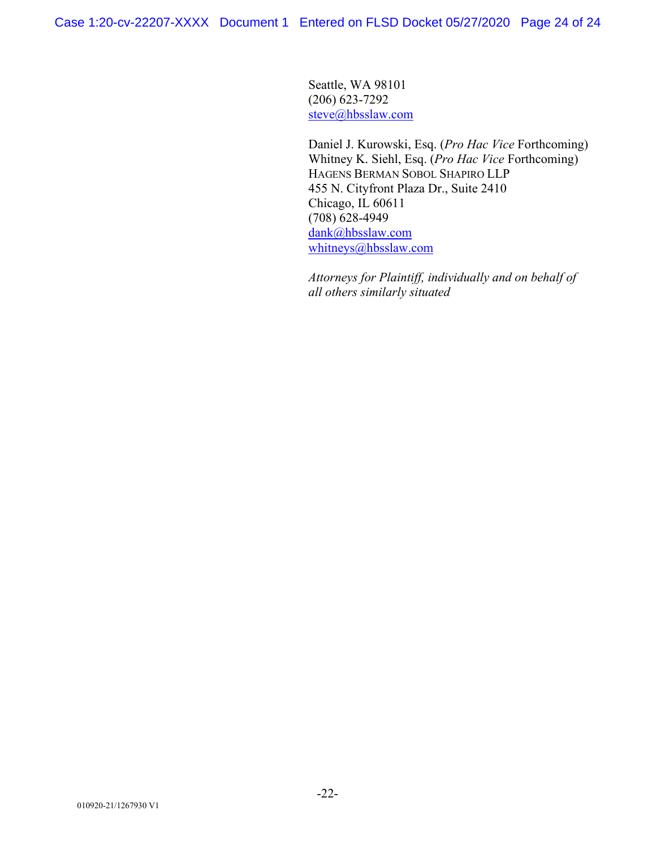Seattle, WA 98101 (206) 623-7292 [steve@hbsslaw.com](mailto:steve@hbsslaw.com)

Daniel J. Kurowski, Esq. (*Pro Hac Vice* Forthcoming) Whitney K. Siehl, Esq. (*Pro Hac Vice* Forthcoming) HAGENS BERMAN SOBOL SHAPIRO LLP 455 N. Cityfront Plaza Dr., Suite 2410 Chicago, IL 60611 (708) 628-4949 [dank@hbsslaw.com](mailto:dank@hbsslaw.com) [whitneys@hbsslaw.com](mailto:whitneys@hbsslaw.com)

*Attorneys for Plaintiff, individually and on behalf of all others similarly situated*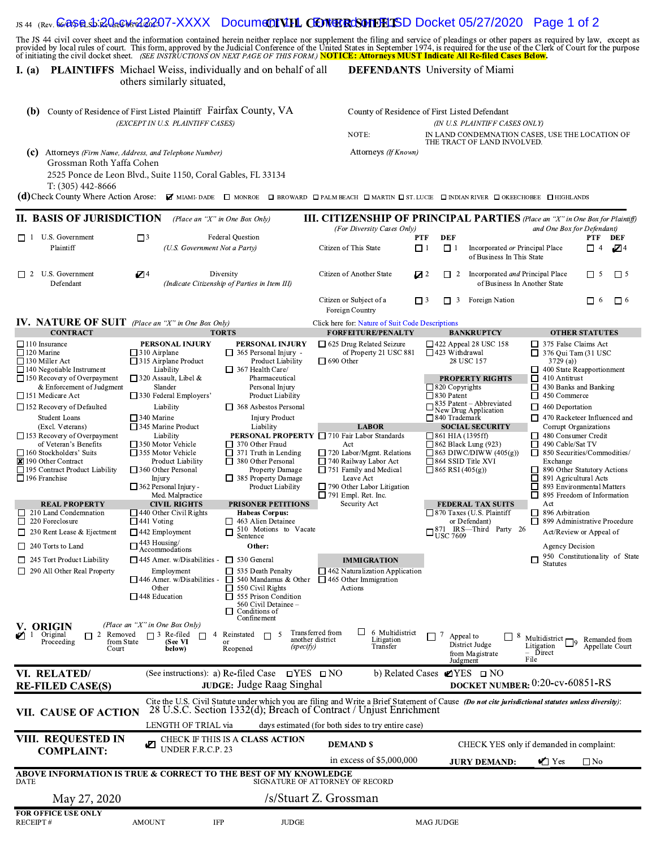# <sub>us 44</sub> <sub>(Rev.</sub> <mark>ക്കെളുക്കി: 20 ക്കേൾ 22 20</mark>7-XXXX Docum**e01 V.HL ODNERCSONDELISD** Docket 05/27/2020 Page 1 of 2

| l. (a)                                                                                                                                                                                                                                                                                                                                                                                                                                                                                                                                                                                                                                                                                               | <b>PLAINTIFFS</b> Michael Weiss, individually and on behalf of all<br>others similarly situated,                                                                                                                                                                                                                                                                                                                                                                                                                                                                                                                                                                                                                                                                                                                                                                                                                                                                                                                                                                                                                                                                                                                                                                                                                                                                                                                                          |                                                                                                                                                                                                                                                                                                                                                                                                                                                                           | <b>DEFENDANTS</b> University of Miami                                                                                                                                                                                                                                                                                                                                                                                                                                                                                                                                                                                                                                                                                                                                                                                                                                                                                                                                                                                                                                                                                                                                                                             |            |
|------------------------------------------------------------------------------------------------------------------------------------------------------------------------------------------------------------------------------------------------------------------------------------------------------------------------------------------------------------------------------------------------------------------------------------------------------------------------------------------------------------------------------------------------------------------------------------------------------------------------------------------------------------------------------------------------------|-------------------------------------------------------------------------------------------------------------------------------------------------------------------------------------------------------------------------------------------------------------------------------------------------------------------------------------------------------------------------------------------------------------------------------------------------------------------------------------------------------------------------------------------------------------------------------------------------------------------------------------------------------------------------------------------------------------------------------------------------------------------------------------------------------------------------------------------------------------------------------------------------------------------------------------------------------------------------------------------------------------------------------------------------------------------------------------------------------------------------------------------------------------------------------------------------------------------------------------------------------------------------------------------------------------------------------------------------------------------------------------------------------------------------------------------|---------------------------------------------------------------------------------------------------------------------------------------------------------------------------------------------------------------------------------------------------------------------------------------------------------------------------------------------------------------------------------------------------------------------------------------------------------------------------|-------------------------------------------------------------------------------------------------------------------------------------------------------------------------------------------------------------------------------------------------------------------------------------------------------------------------------------------------------------------------------------------------------------------------------------------------------------------------------------------------------------------------------------------------------------------------------------------------------------------------------------------------------------------------------------------------------------------------------------------------------------------------------------------------------------------------------------------------------------------------------------------------------------------------------------------------------------------------------------------------------------------------------------------------------------------------------------------------------------------------------------------------------------------------------------------------------------------|------------|
| (c)<br>Grossman Roth Yaffa Cohen<br>$T: (305)$ 442-8666                                                                                                                                                                                                                                                                                                                                                                                                                                                                                                                                                                                                                                              | <b>(b)</b> County of Residence of First Listed Plaintiff Fairfax County, VA<br>(EXCEPT IN U.S. PLAINTIFF CASES)<br>Attorneys (Firm Name, Address, and Telephone Number)<br>2525 Ponce de Leon Blvd., Suite 1150, Coral Gables, FL 33134<br>(d) Check County Where Action Arose: Z MIAMI-DADE D MONROE D BROWARD D PALM BEACH D MARTIN D ST. LUCIE D INDIAN RIVER D OKEECHOBEE D HIGHLANDS                                                                                                                                                                                                                                                                                                                                                                                                                                                                                                                                                                                                                                                                                                                                                                                                                                                                                                                                                                                                                                                 | NOTE:<br>Attorneys (If Known)                                                                                                                                                                                                                                                                                                                                                                                                                                             | County of Residence of First Listed Defendant<br>(IN U.S. PLAINTIFF CASES ONLY)<br>IN LAND CONDEMNATION CASES, USE THE LOCATION OF<br>THE TRACT OF LAND INVOLVED.                                                                                                                                                                                                                                                                                                                                                                                                                                                                                                                                                                                                                                                                                                                                                                                                                                                                                                                                                                                                                                                 |            |
| II. BASIS OF JURISDICTION                                                                                                                                                                                                                                                                                                                                                                                                                                                                                                                                                                                                                                                                            | (Place an "X" in One Box Only)                                                                                                                                                                                                                                                                                                                                                                                                                                                                                                                                                                                                                                                                                                                                                                                                                                                                                                                                                                                                                                                                                                                                                                                                                                                                                                                                                                                                            |                                                                                                                                                                                                                                                                                                                                                                                                                                                                           | <b>III. CITIZENSHIP OF PRINCIPAL PARTIES</b> (Place an "X" in One Box for Plaintiff)                                                                                                                                                                                                                                                                                                                                                                                                                                                                                                                                                                                                                                                                                                                                                                                                                                                                                                                                                                                                                                                                                                                              |            |
| U.S. Government<br>$\Box$ 1<br>Plaintiff                                                                                                                                                                                                                                                                                                                                                                                                                                                                                                                                                                                                                                                             | $\Box$ <sup>3</sup><br><b>Federal Question</b><br>(U.S. Government Not a Party)                                                                                                                                                                                                                                                                                                                                                                                                                                                                                                                                                                                                                                                                                                                                                                                                                                                                                                                                                                                                                                                                                                                                                                                                                                                                                                                                                           | (For Diversity Cases Only)<br>Citizen of This State                                                                                                                                                                                                                                                                                                                                                                                                                       | and One Box for Defendant)<br><b>DEF</b><br>PTF<br>PTF DEF<br>$\Box$ 1<br>$\Box$ 1<br>Incorporated or Principal Place<br>П4<br>of Business In This State                                                                                                                                                                                                                                                                                                                                                                                                                                                                                                                                                                                                                                                                                                                                                                                                                                                                                                                                                                                                                                                          | <b>√</b> 4 |
| $\Box$ 2 U.S. Government<br>Defendant                                                                                                                                                                                                                                                                                                                                                                                                                                                                                                                                                                                                                                                                | $Z^4$<br>Diversity<br>(Indicate Citizenship of Parties in Item III)                                                                                                                                                                                                                                                                                                                                                                                                                                                                                                                                                                                                                                                                                                                                                                                                                                                                                                                                                                                                                                                                                                                                                                                                                                                                                                                                                                       | Citizen of Another State                                                                                                                                                                                                                                                                                                                                                                                                                                                  | □<br>Incorporated and Principal Place<br>$\Box$ 5<br>Z 2<br>$\overline{2}$<br>of Business In Another State                                                                                                                                                                                                                                                                                                                                                                                                                                                                                                                                                                                                                                                                                                                                                                                                                                                                                                                                                                                                                                                                                                        | $\Box$ 5   |
|                                                                                                                                                                                                                                                                                                                                                                                                                                                                                                                                                                                                                                                                                                      |                                                                                                                                                                                                                                                                                                                                                                                                                                                                                                                                                                                                                                                                                                                                                                                                                                                                                                                                                                                                                                                                                                                                                                                                                                                                                                                                                                                                                                           | Citizen or Subject of a<br>Foreign Country                                                                                                                                                                                                                                                                                                                                                                                                                                | 3 Foreign Nation<br>$\Box$ 3<br>□<br>- 6<br>П                                                                                                                                                                                                                                                                                                                                                                                                                                                                                                                                                                                                                                                                                                                                                                                                                                                                                                                                                                                                                                                                                                                                                                     | $\Box$ 6   |
| <b>IV. NATURE OF SUIT</b> (Place an "X" in One Box Only)<br><b>CONTRACT</b>                                                                                                                                                                                                                                                                                                                                                                                                                                                                                                                                                                                                                          | <b>TORTS</b>                                                                                                                                                                                                                                                                                                                                                                                                                                                                                                                                                                                                                                                                                                                                                                                                                                                                                                                                                                                                                                                                                                                                                                                                                                                                                                                                                                                                                              | Click here for: Nature of Suit Code Descriptions<br><b>FORFEITURE/PENALTY</b>                                                                                                                                                                                                                                                                                                                                                                                             | <b>BANKRUPTCY</b><br><b>OTHER STATUTES</b>                                                                                                                                                                                                                                                                                                                                                                                                                                                                                                                                                                                                                                                                                                                                                                                                                                                                                                                                                                                                                                                                                                                                                                        |            |
| $\Box$ 120 Marine<br>$\Box$ 130 Miller Act<br>$\Box$ 140 Negotiable Instrument<br>$\Box$ 150 Recovery of Overpayment<br>& Enforcement of Judgment<br>$\Box$ 151 Medicare Act<br>□ 152 Recovery of Defaulted<br><b>Student Loans</b><br>(Excl. Veterans)<br>$\Box$ 153 Recovery of Overpayment<br>of Veteran's Benefits<br>$\Box$ 160 Stockholders' Suits<br>■ 190 Other Contract<br>□ 195 Contract Product Liability<br>$\Box$ 196 Franchise<br><b>REAL PROPERTY</b><br>$\Box$ 210 Land Condemnation<br>$\Box$ 220 Foreclosure<br>$\Box$ 230 Rent Lease & Ejectment<br>$\Box$ 240 Torts to Land<br>$\Box$ 245 Tort Product Liability<br>$\Box$ 290 All Other Real Property<br>V. ORIGIN<br>2 Removed | $\Box$ 310 Airplane<br>$\Box$ 365 Personal Injury -<br>$\Box$ 315 Airplane Product<br>Product Liability<br>$\Box$ 367 Health Care/<br>Liability<br>$\Box$ 320 Assault, Libel &<br>Pharmaceutical<br>Slander<br>Personal Injury<br>$\Box$ 330 Federal Employers'<br><b>Product Liability</b><br>Liability<br>□ 368 Asbestos Personal<br>$\Box$ 340 Marine<br><b>Injury Product</b><br>$\Box$ 345 Marine Product<br>Liability<br>Liability<br>□ 350 Motor Vehicle<br>$\Box$ 370 Other Fraud<br>$\Box$ 355 Motor Vehicle<br>$\Box$ 371 Truth in Lending<br>Product Liability<br>380 Other Personal<br>Property Damage<br>$\Box$ 360 Other Personal<br>$\Box$ 385 Property Damage<br>Injury<br>$\Box$ 362 Personal Injury -<br><b>Product Liability</b><br>Med. Malpractice<br><b>CIVIL RIGHTS</b><br><b>PRISONER PETITIONS</b><br>$\Box$ 440 Other Civil Rights<br><b>Habeas Corpus:</b><br>$\Box$ 441 Voting<br>$\Box$ 463 Alien Detainee<br>510 Motions to Vacate<br>$\Box$ 442 Employment<br>Sentence<br>$\square$ 443 Housing/<br>Accommodations<br>Other:<br>$\Box$ 445 Amer. w/Disabilities -<br>$\Box$ 530 General<br>Employment<br>$\Box$ 535 Death Penalty<br>$\Box$ 540 Mandamus & Other<br>$\Box$ 446 Amer. w/Disabilities -<br>Other<br>$\Box$ 550 Civil Rights<br>$\Box$ 448 Education<br>$\Box$ 555 Prison Condition<br>560 Civil Detainee -<br>Conditions of<br>Confinement<br>(Place an "X" in One Box Only)<br>4 Reinstated | of Property 21 USC 881<br>$\Box$ 690 Other<br><b>LABOR</b><br>PERSONAL PROPERTY □ 710 Fair Labor Standards<br>Act<br>$\Box$ 720 Labor/Mgmt. Relations<br>□ 740 Railway Labor Act<br>$\Box$ 751 Family and Medical<br>Leave Act<br>$\Box$ 790 Other Labor Litigation<br>$\Box$ 791 Empl. Ret. Inc.<br>Security Act<br><b>IMMIGRATION</b><br>$\Box$ 462 Naturalization Application<br>$\Box$ 465 Other Immigration<br>Actions<br>$\Box$ 6 Multidistrict<br>Transferred from | $\Box$ 423 Withdrawal<br>$\Box$ 376 Qui Tam (31 USC<br>28 USC 157<br>3729(a)<br>$\Box$ 400 State Reapportionment<br>$\Box$ 410 Antitrust<br><b>PROPERTY RIGHTS</b><br>$\Box$ 430 Banks and Banking<br>$\Box$ 820 Copyrights<br>$\Box$ 450 Commerce<br>$\Box$ 830 Patent<br>$\frac{335 \text{ Patent} - \text{Abbreviated}}{\text{New Drug Application}}$<br>$\Box$ 460 Deportation<br>$\Box$ 470 Racketeer Influenced and<br>$\Box$ 840 Trademark<br>Corrupt Organizations<br><b>SOCIAL SECURITY</b><br>□ 861 HIA (1395ff)<br>$\Box$ 480 Consumer Credit<br>$\Box$ 862 Black Lung (923)<br>$\Box$ 490 Cable/Sat TV<br>$\Box$ 863 DIWC/DIWW (405(g))<br>$\Box$ 850 Securities/Commodities/<br>$\Box$ 864 SSID Title XVI<br>Exchange<br>$\Box$ 865 RSI (405(g))<br>890 Other Statutory Actions<br>$\Box$ 891 Agricultural Acts<br>893 Environmental Matters<br>П<br>895 Freedom of Information<br>$\Box$<br><b>FEDERAL TAX SUITS</b><br>Act<br>$\Box$ 870 Taxes (U.S. Plaintiff<br>896 Arbitration<br>ш<br>899 Administrative Procedure<br>or Defendant)<br>□<br>$\square_{\text{USC}}^{871}$ IRS—Third Party 26<br>Act/Review or Appeal of<br>Agency Decision<br>950 Constitutionality of State<br><b>Statutes</b> |            |
| $\blacksquare$ 1 Original<br>Proceeding<br>from State<br>Court                                                                                                                                                                                                                                                                                                                                                                                                                                                                                                                                                                                                                                       | $\Box$ 3 Re-filed<br>$\Box$<br>$\Box$<br>(See VI<br>or<br>Reopened<br>below)                                                                                                                                                                                                                                                                                                                                                                                                                                                                                                                                                                                                                                                                                                                                                                                                                                                                                                                                                                                                                                                                                                                                                                                                                                                                                                                                                              | another district<br>Litigation<br>Transfer<br>(specify)                                                                                                                                                                                                                                                                                                                                                                                                                   | $\Box$ <sup>7</sup><br>Appeal to<br>-8<br>Multidistrict $\Box$<br>Remanded from<br>District Judge<br>Litigation<br>Appellate Court<br>Direct<br>from Magistrate<br>File<br>Judgment                                                                                                                                                                                                                                                                                                                                                                                                                                                                                                                                                                                                                                                                                                                                                                                                                                                                                                                                                                                                                               |            |
| VI. RELATED/<br><b>RE-FILED CASE(S)</b>                                                                                                                                                                                                                                                                                                                                                                                                                                                                                                                                                                                                                                                              | (See instructions): a) Re-filed Case $\Box$ YES $\Box$ NO<br>JUDGE: Judge Raag Singhal                                                                                                                                                                                                                                                                                                                                                                                                                                                                                                                                                                                                                                                                                                                                                                                                                                                                                                                                                                                                                                                                                                                                                                                                                                                                                                                                                    | b) Related Cases                                                                                                                                                                                                                                                                                                                                                                                                                                                          | <b>Ø</b> YES □ NO<br>DOCKET NUMBER: 0:20-cv-60851-RS                                                                                                                                                                                                                                                                                                                                                                                                                                                                                                                                                                                                                                                                                                                                                                                                                                                                                                                                                                                                                                                                                                                                                              |            |
| VII. CAUSE OF ACTION                                                                                                                                                                                                                                                                                                                                                                                                                                                                                                                                                                                                                                                                                 | 28 U.S.C. Section 1332(d); Breach of Contract / Unjust Enrichment<br>LENGTH OF TRIAL via                                                                                                                                                                                                                                                                                                                                                                                                                                                                                                                                                                                                                                                                                                                                                                                                                                                                                                                                                                                                                                                                                                                                                                                                                                                                                                                                                  | days estimated (for both sides to try entire case)                                                                                                                                                                                                                                                                                                                                                                                                                        | Cite the U.S. Civil Statute under which you are filing and Write a Brief Statement of Cause (Do not cite jurisdictional statutes unless diversity):                                                                                                                                                                                                                                                                                                                                                                                                                                                                                                                                                                                                                                                                                                                                                                                                                                                                                                                                                                                                                                                               |            |
| VIII. REQUESTED IN                                                                                                                                                                                                                                                                                                                                                                                                                                                                                                                                                                                                                                                                                   | CHECK IF THIS IS A CLASS ACTION                                                                                                                                                                                                                                                                                                                                                                                                                                                                                                                                                                                                                                                                                                                                                                                                                                                                                                                                                                                                                                                                                                                                                                                                                                                                                                                                                                                                           | <b>DEMAND \$</b>                                                                                                                                                                                                                                                                                                                                                                                                                                                          | CHECK YES only if demanded in complaint:                                                                                                                                                                                                                                                                                                                                                                                                                                                                                                                                                                                                                                                                                                                                                                                                                                                                                                                                                                                                                                                                                                                                                                          |            |